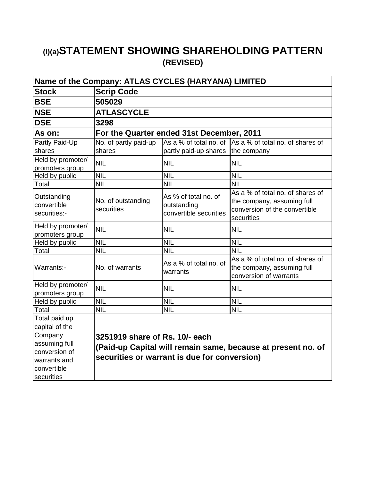# **(I)(a)STATEMENT SHOWING SHAREHOLDING PATTERN (REVISED)**

| Name of the Company: ATLAS CYCLES (HARYANA) LIMITED                                                         |                                  |                                                               |                                                                                                               |  |  |  |
|-------------------------------------------------------------------------------------------------------------|----------------------------------|---------------------------------------------------------------|---------------------------------------------------------------------------------------------------------------|--|--|--|
| <b>Stock</b>                                                                                                | <b>Scrip Code</b>                |                                                               |                                                                                                               |  |  |  |
| <b>BSE</b>                                                                                                  | 505029                           |                                                               |                                                                                                               |  |  |  |
| <b>NSE</b>                                                                                                  | <b>ATLASCYCLE</b>                |                                                               |                                                                                                               |  |  |  |
| <b>DSE</b>                                                                                                  | 3298                             |                                                               |                                                                                                               |  |  |  |
| As on:                                                                                                      |                                  | For the Quarter ended 31st December, 2011                     |                                                                                                               |  |  |  |
| Partly Paid-Up                                                                                              | No. of partly paid-up            |                                                               | As a % of total no. of As a % of total no. of shares of                                                       |  |  |  |
| shares                                                                                                      | shares                           | partly paid-up shares                                         | the company                                                                                                   |  |  |  |
| Held by promoter/<br>promoters group                                                                        | <b>NIL</b>                       | <b>NIL</b>                                                    | <b>NIL</b>                                                                                                    |  |  |  |
| Held by public                                                                                              | <b>NIL</b>                       | <b>NIL</b>                                                    | <b>NIL</b>                                                                                                    |  |  |  |
| Total                                                                                                       | <b>NIL</b>                       | NIL                                                           | <b>NIL</b>                                                                                                    |  |  |  |
| Outstanding<br>convertible<br>securities:-                                                                  | No. of outstanding<br>securities | As % of total no. of<br>outstanding<br>convertible securities | As a % of total no, of shares of<br>the company, assuming full<br>conversion of the convertible<br>securities |  |  |  |
| Held by promoter/<br>promoters group                                                                        | <b>NIL</b>                       | <b>NIL</b>                                                    | <b>NIL</b>                                                                                                    |  |  |  |
| Held by public                                                                                              | <b>NIL</b>                       | <b>NIL</b>                                                    | <b>NIL</b>                                                                                                    |  |  |  |
| Total                                                                                                       | <b>NIL</b>                       | <b>NIL</b>                                                    | <b>NIL</b>                                                                                                    |  |  |  |
| Warrants:-                                                                                                  | No. of warrants                  | As a % of total no. of<br>warrants                            | As a % of total no. of shares of<br>the company, assuming full<br>conversion of warrants                      |  |  |  |
| Held by promoter/<br>promoters group                                                                        | <b>NIL</b>                       | <b>NIL</b>                                                    | <b>NIL</b>                                                                                                    |  |  |  |
| Held by public                                                                                              | <b>NIL</b>                       | <b>NIL</b>                                                    | <b>NIL</b>                                                                                                    |  |  |  |
| Total                                                                                                       | <b>NIL</b>                       | <b>NIL</b>                                                    | <b>NIL</b>                                                                                                    |  |  |  |
| Total paid up<br>capital of the<br>Company<br>assuming full<br>conversion of<br>warrants and<br>convertible | 3251919 share of Rs. 10/- each   | securities or warrant is due for conversion)                  | (Paid-up Capital will remain same, because at present no. of                                                  |  |  |  |
| securities                                                                                                  |                                  |                                                               |                                                                                                               |  |  |  |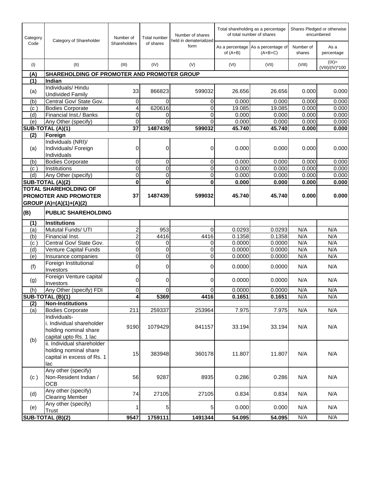| Category          | Number of<br>Category of Shareholder                                                         |                | <b>Total number</b> | Number of shares<br>held in dematerialized | Total shareholding as a percentage<br>of total number of shares |                                                 | Shares Pledged or otherwise<br>encumbered |                            |
|-------------------|----------------------------------------------------------------------------------------------|----------------|---------------------|--------------------------------------------|-----------------------------------------------------------------|-------------------------------------------------|-------------------------------------------|----------------------------|
| Code              |                                                                                              | Shareholders   | of shares           | form                                       | of $(A+B)$                                                      | As a percentage As a percentage of<br>$(A+B+C)$ | Number of<br>shares                       | As a<br>percentage         |
| (1)               | (II)                                                                                         | (III)          | (IV)                | (V)                                        | (VI)                                                            | (VII)                                           | (VIII)                                    | $(IX)=$<br>(VIII)/(IV)*100 |
| (A)               | <b>SHAREHOLDING OF PROMOTER AND PROMOTER GROUP</b>                                           |                |                     |                                            |                                                                 |                                                 |                                           |                            |
| (1)               | Indian                                                                                       |                |                     |                                            |                                                                 |                                                 |                                           |                            |
| (a)               | Individuals/Hindu<br><b>Undivided Family</b>                                                 | 33             | 866823              | 599032                                     | 26.656                                                          | 26.656                                          | 0.000                                     | 0.000                      |
| (b)               | Central Gov/ State Gov.                                                                      | 0              | 0                   | 0                                          | 0.000                                                           | 0.000                                           | 0.000                                     | 0.000                      |
| (c)               | <b>Bodies Corporate</b>                                                                      | 4              | 620616              | 0                                          | 19.085                                                          | 19.085                                          | 0.000                                     | 0.000                      |
| (d)               | Financial Inst./ Banks                                                                       | 0              | 0                   | 0                                          | 0.000                                                           | 0.000                                           | 0.000                                     | 0.000                      |
| (e)               | Any Other (specify)                                                                          | $\mathbf 0$    | 0                   | 0                                          | 0.000                                                           | 0.000                                           | 0.000                                     | 0.000                      |
|                   | SUB-TOTAL (A)(1)                                                                             | 37             | 1487439             | 599032                                     | 45.740                                                          | 45.740                                          | 0.000                                     | 0.000                      |
| (2)               | Foreign                                                                                      |                |                     |                                            |                                                                 |                                                 |                                           |                            |
| (a)               | Individuals (NRI)/<br>Individuals/ Foreign<br>Individuals                                    | 0              | 0                   | 0                                          | 0.000                                                           | 0.000                                           | 0.000                                     | 0.000                      |
| (b)               | <b>Bodies Corporate</b>                                                                      | 0              | $\overline{0}$      | 0                                          | 0.000                                                           | 0.000                                           | 0.000                                     | 0.000                      |
| (c)               | Institutions                                                                                 | $\overline{0}$ | 0                   | $\mathbf 0$                                | 0.000                                                           | 0.000                                           | 0.000                                     | 0.000                      |
| (d)               | Any Other (specify)                                                                          | $\mathbf 0$    | 0                   | 0                                          | 0.000                                                           | 0.000                                           | 0.000                                     | 0.000                      |
|                   | SUB-TOTAL (A)(2)                                                                             | $\mathbf 0$    | $\bf{0}$            | $\bf{0}$                                   | 0.000                                                           | 0.000                                           | 0.000                                     | 0.000                      |
|                   | <b>TOTAL SHAREHOLDING OF</b>                                                                 |                |                     |                                            |                                                                 |                                                 |                                           |                            |
|                   | PROMOTER AND PROMOTER                                                                        | 37             | 1487439             | 599032                                     | 45.740                                                          | 45.740                                          | 0.000                                     | 0.000                      |
|                   | GROUP $(A)=(A)(1)+(A)(2)$                                                                    |                |                     |                                            |                                                                 |                                                 |                                           |                            |
| (B)               | <b>PUBLIC SHAREHOLDING</b>                                                                   |                |                     |                                            |                                                                 |                                                 |                                           |                            |
| (1)               | Institutions                                                                                 |                |                     |                                            |                                                                 |                                                 |                                           |                            |
| (a)               | Mututal Funds/ UTI                                                                           | 2              | 953                 | 0                                          | 0.0293                                                          | 0.0293                                          | N/A                                       | N/A                        |
| (b)               | Financial Inst.                                                                              | $\overline{c}$ | 4416                | 4416                                       | 0.1358                                                          | 0.1358                                          | N/A                                       | N/A                        |
| (c <sub>1</sub> ) | Central Gov/ State Gov.                                                                      | $\overline{0}$ | 0                   | 0                                          | 0.0000                                                          | 0.0000                                          | N/A                                       | N/A                        |
| (d)               | <b>Venture Capital Funds</b>                                                                 | $\mathbf 0$    | $\overline{0}$      | $\mathbf 0$                                | 0.0000                                                          | 0.0000                                          | N/A                                       | N/A                        |
| (e)               | Insurance companies                                                                          | $\mathbf 0$    | 0                   | 0                                          | 0.0000                                                          | 0.0000                                          | N/A                                       | N/A                        |
| (f)               | Foreign Institutional<br>Investors                                                           | $\Omega$       | $\Omega$            | 0                                          | 0.0000                                                          | 0.0000                                          | N/A                                       | N/A                        |
| (g)               | Foreign Venture capital<br>Investors                                                         | 0              | 0                   | 0                                          | 0.0000                                                          | 0.0000                                          | N/A                                       | N/A                        |
| (h)               | Any Other (specify) FDI                                                                      | $\mathbf 0$    | 0                   | 0                                          | 0.0000                                                          | 0.0000                                          | N/A                                       | N/A                        |
|                   | SUB-TOTAL (B)(1)                                                                             | 4              | 5369                | 4416                                       | 0.1651                                                          | 0.1651                                          | N/A                                       | N/A                        |
| (2)               | <b>Non-Institutions</b>                                                                      |                |                     |                                            |                                                                 |                                                 |                                           |                            |
| (a)               | <b>Bodies Corporate</b>                                                                      | 211            | 259337              | 253964                                     | 7.975                                                           | 7.975                                           | N/A                                       | N/A                        |
|                   | Individuals-<br>i. Individual shareholder<br>holding nominal share<br>capital upto Rs. 1 lac | 9190           | 1079429             | 841157                                     | 33.194                                                          | 33.194                                          | N/A                                       | N/A                        |
| (b)               | ii. Individual shareholder<br>holding nominal share<br>capital in excess of Rs. 1<br>lac     | 15             | 383948              | 360178                                     | 11.807                                                          | 11.807                                          | N/A                                       | N/A                        |
| (c)               | Any other (specify)<br>Non-Resident Indian /<br><b>OCB</b>                                   | 56             | 9287                | 8935                                       | 0.286                                                           | 0.286                                           | N/A                                       | N/A                        |
| (d)               | Any other (specify)<br><b>Clearing Member</b>                                                | 74             | 27105               | 27105                                      | 0.834                                                           | 0.834                                           | N/A                                       | N/A                        |
| (e)               | Any other (specify)<br>Trust                                                                 |                | 5                   | 5                                          | 0.000                                                           | 0.000                                           | N/A                                       | N/A                        |
|                   | SUB-TOTAL (B)(2)                                                                             | 9547           | 1759111             | 1491344                                    | 54.095                                                          | 54.095                                          | N/A                                       | N/A                        |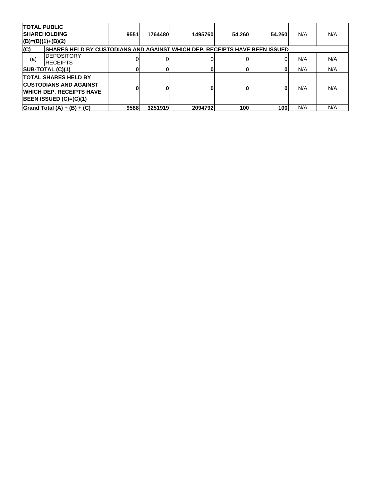| <b>TOTAL PUBLIC</b> | <b>SHAREHOLDING</b><br>$ (B)= (B)(1)+(B)(2)$                                                                                      | 9551 | 1764480 | 1495760 | 54.260 | 54.260 | N/A | N/A |
|---------------------|-----------------------------------------------------------------------------------------------------------------------------------|------|---------|---------|--------|--------|-----|-----|
| (C)                 | SHARES HELD BY CUSTODIANS AND AGAINST WHICH DEP. RECEIPTS HAVE BEEN ISSUED                                                        |      |         |         |        |        |     |     |
| (a)                 | <b>DEPOSITORY</b><br><b>IRECEIPTS</b>                                                                                             |      |         |         |        |        | N/A | N/A |
|                     | SUB-TOTAL (C)(1)                                                                                                                  |      |         |         |        | 0      | N/A | N/A |
|                     | <b>ITOTAL SHARES HELD BY</b><br><b>CUSTODIANS AND AGAINST</b><br><b>WHICH DEP. RECEIPTS HAVE</b><br><b>BEEN ISSUED (C)=(C)(1)</b> | 0    |         |         |        | 0      | N/A | N/A |
|                     | Grand Total $(A) + (B) + (C)$                                                                                                     | 9588 | 3251919 | 2094792 | 100    | 100    | N/A | N/A |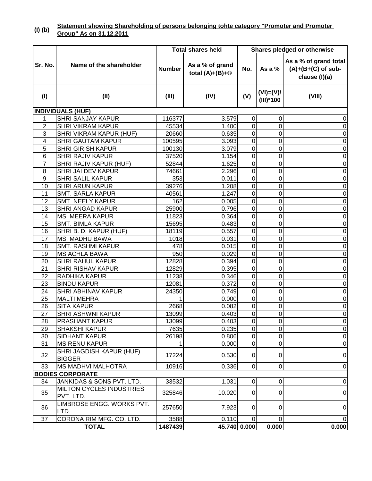#### **(I) (b) Statement showing Shareholding of persons belonging tohte category "Promoter and Promoter Group" As on 31.12.2011**

|                 |                                              | <b>Total shares held</b> |                                      | Shares pledged or otherwise |                            |                                                                |  |
|-----------------|----------------------------------------------|--------------------------|--------------------------------------|-----------------------------|----------------------------|----------------------------------------------------------------|--|
| Sr. No.         | Name of the shareholder                      | <b>Number</b>            | As a % of grand<br>total $(A)+(B)+@$ | No.                         | As a $%$                   | As a % of grand total<br>$(A)+(B+(C)$ of sub-<br>clause (I)(a) |  |
| (1)             | (II)                                         | (III)                    | (IV)                                 | (V)                         | $(VI) = (V)I$<br>(III)*100 | (VIII)                                                         |  |
|                 | <b>INDIVIDUALS (HUF)</b>                     |                          |                                      |                             |                            |                                                                |  |
| $\mathbf{1}$    | <b>SHRI SANJAY KAPUR</b>                     | 116377                   | 3.579                                | $\overline{0}$              | $\Omega$                   | $\boldsymbol{0}$                                               |  |
| $\overline{2}$  | <b>SHRI VIKRAM KAPUR</b>                     | 45534                    | 1.400                                | $\overline{0}$              | $\mathbf 0$                | $\overline{0}$                                                 |  |
| 3               | SHRI VIKRAM KAPUR (HUF)                      | 20660                    | 0.635                                | $\overline{0}$              | $\mathbf 0$                | $\pmb{0}$                                                      |  |
| 4               | <b>SHRI GAUTAM KAPUR</b>                     | 100595                   | 3.093                                | $\overline{0}$              | $\mathbf 0$                | $\pmb{0}$                                                      |  |
| 5               | <b>SHRI GIRISH KAPUR</b>                     | 100130                   | 3.079                                | $\overline{0}$              | $\overline{0}$             | $\overline{0}$                                                 |  |
| $6\phantom{1}6$ | <b>SHRI RAJIV KAPUR</b>                      | 37520                    | 1.154                                | $\overline{0}$              | $\overline{0}$             | $\pmb{0}$                                                      |  |
| $\overline{7}$  | SHRI RAJIV KAPUR (HUF)                       | 52844                    | 1.625                                | $\overline{0}$              | $\mathbf 0$                | $\overline{0}$                                                 |  |
| 8               | SHRI JAI DEV KAPUR                           | 74661                    | 2.296                                | $\overline{0}$              | $\mathbf 0$                | $\overline{0}$                                                 |  |
| $\overline{9}$  | <b>SHRI SALIL KAPUR</b>                      | 353                      | 0.011                                | $\overline{0}$              | $\mathbf 0$                | $\overline{0}$                                                 |  |
| 10              | <b>SHRI ARUN KAPUR</b>                       | 39276                    | 1.208                                | $\overline{0}$              | $\mathbf 0$                | $\overline{0}$                                                 |  |
| 11              | <b>SMT. SARLA KAPUR</b>                      | 40561                    | 1.247                                | $\overline{0}$              | $\overline{0}$             | $\overline{0}$                                                 |  |
| 12              | <b>SMT. NEELY KAPUR</b>                      | 162                      | 0.005                                | $\overline{0}$              | $\mathbf 0$                | $\mathbf 0$                                                    |  |
| 13              | <b>SHRI ANGAD KAPUR</b>                      | 25900                    | 0.796                                | $\mathbf 0$                 | $\overline{0}$             | $\overline{0}$                                                 |  |
| 14              | <b>MS. MEERA KAPUR</b>                       | 11823                    | 0.364                                | $\overline{0}$              | $\overline{0}$             | $\overline{0}$                                                 |  |
| 15              | <b>SMT. BIMLA KAPUR</b>                      | 15695                    | 0.483                                | $\mathbf 0$                 | $\mathbf 0$                | $\overline{0}$                                                 |  |
| 16              | SHRI B. D. KAPUR (HUF)                       | 18119                    | 0.557                                | $\mathbf 0$                 | $\overline{0}$             | $\overline{0}$                                                 |  |
| 17              | <b>MS. MADHU BAWA</b>                        | 1018                     | 0.031                                | $\mathbf 0$                 | $\mathbf 0$                | $\pmb{0}$                                                      |  |
| 18              | <b>SMT. RASHMI KAPUR</b>                     | 478                      | 0.015                                | $\overline{0}$              | $\mathbf 0$                | $\boldsymbol{0}$                                               |  |
| 19              | <b>MS ACHLA BAWA</b>                         | 950                      | 0.029                                | $\mathbf 0$                 | $\mathbf 0$                | $\pmb{0}$                                                      |  |
| 20              | SHRI RAHUL KAPUR                             | 12828                    | 0.394                                | $\mathbf 0$                 | $\mathbf 0$                | $\pmb{0}$                                                      |  |
| 21              | <b>SHRI RISHAV KAPUR</b>                     | 12829                    | 0.395                                | $\mathbf 0$                 | $\overline{0}$             | $\pmb{0}$                                                      |  |
| 22              | RADHIKA KAPUR                                | 11238                    | 0.346                                | $\overline{0}$              | $\mathbf 0$                | $\boldsymbol{0}$                                               |  |
| 23              | <b>BINDU KAPUR</b>                           | 12081                    | 0.372                                | $\overline{0}$              | $\mathbf 0$                | $\boldsymbol{0}$                                               |  |
| 24              | <b>SHRI ABHINAV KAPUR</b>                    | 24350                    | 0.749                                | $\overline{0}$              | $\mathbf 0$                | $\boldsymbol{0}$                                               |  |
| 25              | <b>MALTI MEHRA</b>                           |                          | 0.000                                | $\overline{0}$              | $\mathbf 0$                | $\overline{0}$                                                 |  |
| 26              | <b>SITA KAPUR</b>                            | 2668                     | 0.082                                | $\overline{0}$              | $\mathbf 0$                | $\overline{0}$                                                 |  |
| 27              | <b>SHRI ASHWNI KAPUR</b>                     | 13099                    | 0.403                                | $\overline{0}$              | $\Omega$                   | $\overline{0}$                                                 |  |
| 28              | PRASHANT KAPUR                               | 13099                    | 0.403                                | $\overline{0}$              | $\overline{0}$             | $\overline{0}$                                                 |  |
| 29              | <b>SHAKSHI KAPUR</b>                         | 7635                     | 0.235                                | $\overline{0}$              | $\overline{0}$             | $\overline{0}$                                                 |  |
| 30              | <b>SIDHANT KAPUR</b>                         | 26198                    | 0.806                                | $\overline{0}$              | 0                          | $\overline{0}$                                                 |  |
| 31              | <b>MS RENU KAPUR</b>                         | 1                        | 0.000                                | $\overline{0}$              | 0                          | $\overline{0}$                                                 |  |
| 32              | SHRI JAGDISH KAPUR (HUF)<br><b>BIGGER</b>    | 17224                    | 0.530                                | $\overline{0}$              | 0                          | 0                                                              |  |
| 33              | <b>MS MADHVI MALHOTRA</b>                    | 10916                    | 0.336                                | $\overline{0}$              | $\overline{0}$             | $\overline{0}$                                                 |  |
|                 | <b>BODIES CORPORATE</b>                      |                          |                                      |                             |                            |                                                                |  |
| 34              | JANKIDAS & SONS PVT. LTD.                    | 33532                    | 1.031                                | $\overline{0}$              | 0                          | $\overline{0}$                                                 |  |
| 35              | <b>MILTON CYCLES INDUSTRIES</b><br>PVT. LTD. | 325846                   | 10.020                               | $\overline{0}$              | 01                         | 0                                                              |  |
| 36              | LIMBROSE ENGG. WORKS PVT.<br>LTD.            | 257650                   | 7.923                                | $\overline{0}$              | $\overline{0}$             | 0                                                              |  |
| 37              | CORONA RIM MFG. CO. LTD.                     | 3588                     | 0.110                                | $\overline{0}$              | $\overline{0}$             | 0                                                              |  |
| <b>TOTAL</b>    |                                              | 1487439                  | 45.740 0.000                         |                             | 0.000                      | 0.000                                                          |  |